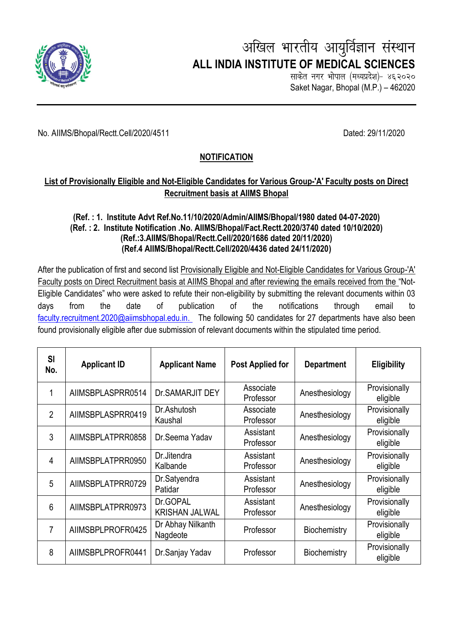

# अखिल भारतीय आयुर्विज्ञान संस्थान  **ALL INDIA INSTITUTE OF MEDICAL SCIENCES**

साकेत नगर भोपाल (मध्यप्रदेश)- ४६२०२० Saket Nagar, Bhopal (M.P.) – 462020

No. AIIMS/Bhopal/Rectt.Cell/2020/4511 Dated: 29/11/2020

## **NOTIFICATION**

### **List of Provisionally Eligible and Not-Eligible Candidates for Various Group-'A' Faculty posts on Direct Recruitment basis at AIIMS Bhopal**

#### **(Ref. : 1. Institute Advt Ref.No.11/10/2020/Admin/AIIMS/Bhopal/1980 dated 04-07-2020) (Ref. : 2. Institute Notification .No. AIIMS/Bhopal/Fact.Rectt.2020/3740 dated 10/10/2020) (Ref.:3.AIIMS/Bhopal/Rectt.Cell/2020/1686 dated 20/11/2020) (Ref.4 AIIMS/Bhopal/Rectt.Cell/2020/4436 dated 24/11/2020)**

After the publication of first and second list Provisionally Eligible and Not-Eligible Candidates for Various Group-'A' Faculty posts on Direct Recruitment basis at AIIMS Bhopal and after reviewing the emails received from the "Not-Eligible Candidates" who were asked to refute their non-eligibility by submitting the relevant documents within 03 days from the date of publication of the notifications through email to [faculty.recruitment.2020@aiimsbhopal.edu.in.](mailto:faculty.recruitment.2020@aiimsbhopal.edu.in) The following 50 candidates for 27 departments have also been found provisionally eligible after due submission of relevant documents within the stipulated time period.

| <b>SI</b><br>No. | <b>Applicant ID</b> | <b>Applicant Name</b>             | <b>Post Applied for</b> | <b>Department</b> | <b>Eligibility</b>        |
|------------------|---------------------|-----------------------------------|-------------------------|-------------------|---------------------------|
|                  | AIIMSBPLASPRR0514   | Dr. SAMARJIT DEY                  | Associate<br>Professor  | Anesthesiology    | Provisionally<br>eligible |
| $\overline{2}$   | AIIMSBPLASPRR0419   | Dr.Ashutosh<br>Kaushal            | Associate<br>Professor  | Anesthesiology    | Provisionally<br>eligible |
| 3                | AIIMSBPLATPRR0858   | Dr.Seema Yadav                    | Assistant<br>Professor  | Anesthesiology    | Provisionally<br>eligible |
| 4                | AIIMSBPLATPRR0950   | Dr.Jitendra<br>Kalbande           | Assistant<br>Professor  | Anesthesiology    | Provisionally<br>eligible |
| 5                | AIIMSBPLATPRR0729   | Dr.Satyendra<br>Patidar           | Assistant<br>Professor  | Anesthesiology    | Provisionally<br>eligible |
| 6                | AIIMSBPLATPRR0973   | Dr.GOPAL<br><b>KRISHAN JALWAL</b> | Assistant<br>Professor  | Anesthesiology    | Provisionally<br>eligible |
| 7                | AIIMSBPLPROFR0425   | Dr Abhay Nilkanth<br>Nagdeote     | Professor               | Biochemistry      | Provisionally<br>eligible |
| 8                | AIIMSBPLPROFR0441   | Dr.Sanjay Yadav                   | Professor               | Biochemistry      | Provisionally<br>eligible |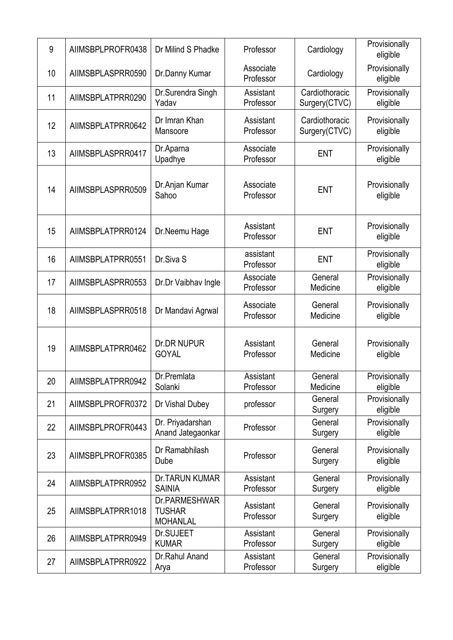| 9  | AIIMSBPLPROFR0438 | Dr Milind S Phadke                                | Professor              | Cardiology                      | Provisionally<br>eligible |
|----|-------------------|---------------------------------------------------|------------------------|---------------------------------|---------------------------|
| 10 | AIIMSBPLASPRR0590 | Dr.Danny Kumar                                    | Associate<br>Professor | Cardiology                      | Provisionally<br>eligible |
| 11 | AIIMSBPLATPRR0290 | Dr.Surendra Singh<br>Yadav                        | Assistant<br>Professor | Cardiothoracic<br>Surgery(CTVC) | Provisionally<br>eligible |
| 12 | AIIMSBPLATPRR0642 | Dr Imran Khan<br>Mansoore                         | Assistant<br>Professor | Cardiothoracic<br>Surgery(CTVC) | Provisionally<br>eligible |
| 13 | AIIMSBPLASPRR0417 | Dr.Aparna<br>Upadhye                              | Associate<br>Professor | <b>ENT</b>                      | Provisionally<br>eligible |
| 14 | AIIMSBPLASPRR0509 | Dr.Anjan Kumar<br>Sahoo                           | Associate<br>Professor | <b>ENT</b>                      | Provisionally<br>eligible |
| 15 | AIIMSBPLATPRR0124 | Dr.Neemu Hage                                     | Assistant<br>Professor | <b>ENT</b>                      | Provisionally<br>eligible |
| 16 | AIIMSBPLATPRR0551 | Dr.Siva <sub>S</sub>                              | assistant<br>Professor | <b>ENT</b>                      | Provisionally<br>eligible |
| 17 | AIIMSBPLASPRR0553 | Dr.Dr Vaibhav Ingle                               | Associate<br>Professor | General<br>Medicine             | Provisionally<br>eligible |
| 18 | AIIMSBPLASPRR0518 | Dr Mandavi Agrwal                                 | Associate<br>Professor | General<br>Medicine             | Provisionally<br>eligible |
| 19 | AIIMSBPLATPRR0462 | <b>Dr.DR NUPUR</b><br><b>GOYAL</b>                | Assistant<br>Professor | General<br>Medicine             | Provisionally<br>eligible |
| 20 | AIIMSBPLATPRR0942 | Dr.Premlata<br>Solanki                            | Assistant<br>Professor | General<br>Medicine             | Provisionally<br>eligible |
| 21 | AIIMSBPLPROFR0372 | Dr Vishal Dubey                                   | professor              | General<br>Surgery              | Provisionally<br>eligible |
| 22 | AIIMSBPLPROFR0443 | Dr. Priyadarshan<br>Anand Jategaonkar             | Professor              | General<br>Surgery              | Provisionally<br>eligible |
| 23 | AIIMSBPLPROFR0385 | Dr Ramabhilash<br>Dube                            | Professor              | General<br>Surgery              | Provisionally<br>eligible |
| 24 | AIIMSBPLATPRR0952 | <b>Dr.TARUN KUMAR</b><br><b>SAINIA</b>            | Assistant<br>Professor | General<br>Surgery              | Provisionally<br>eligible |
| 25 | AIIMSBPLATPRR1018 | Dr.PARMESHWAR<br><b>TUSHAR</b><br><b>MOHANLAL</b> | Assistant<br>Professor | General<br>Surgery              | Provisionally<br>eligible |
| 26 | AIIMSBPLATPRR0949 | Dr.SUJEET<br><b>KUMAR</b>                         | Assistant<br>Professor | General<br>Surgery              | Provisionally<br>eligible |
| 27 | AIIMSBPLATPRR0922 | Dr.Rahul Anand<br>Arya                            | Assistant<br>Professor | General<br>Surgery              | Provisionally<br>eligible |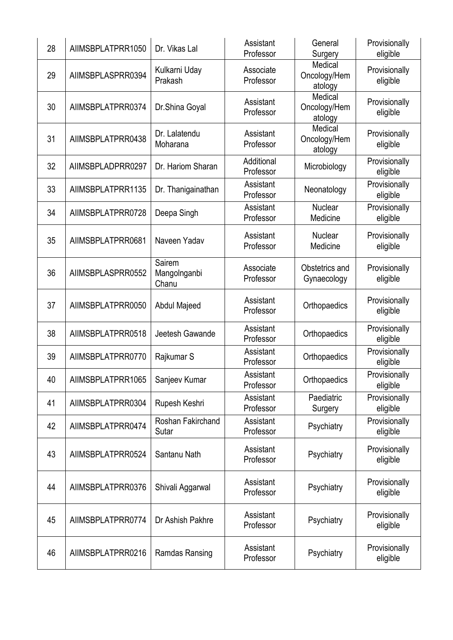| 28 | AIIMSBPLATPRR1050 | Dr. Vikas Lal                   | Assistant<br>Professor  | General<br>Surgery                 | Provisionally<br>eligible |
|----|-------------------|---------------------------------|-------------------------|------------------------------------|---------------------------|
| 29 | AIIMSBPLASPRR0394 | Kulkarni Uday<br>Prakash        | Associate<br>Professor  | Medical<br>Oncology/Hem<br>atology | Provisionally<br>eligible |
| 30 | AIIMSBPLATPRR0374 | Dr.Shina Goyal                  | Assistant<br>Professor  | Medical<br>Oncology/Hem<br>atology | Provisionally<br>eligible |
| 31 | AIIMSBPLATPRR0438 | Dr. Lalatendu<br>Moharana       | Assistant<br>Professor  | Medical<br>Oncology/Hem<br>atology | Provisionally<br>eligible |
| 32 | AIIMSBPLADPRR0297 | Dr. Hariom Sharan               | Additional<br>Professor | Microbiology                       | Provisionally<br>eligible |
| 33 | AIIMSBPLATPRR1135 | Dr. Thanigainathan              | Assistant<br>Professor  | Neonatology                        | Provisionally<br>eligible |
| 34 | AIIMSBPLATPRR0728 | Deepa Singh                     | Assistant<br>Professor  | Nuclear<br>Medicine                | Provisionally<br>eligible |
| 35 | AIIMSBPLATPRR0681 | Naveen Yadav                    | Assistant<br>Professor  | Nuclear<br>Medicine                | Provisionally<br>eligible |
| 36 | AIIMSBPLASPRR0552 | Sairem<br>Mangolnganbi<br>Chanu | Associate<br>Professor  | Obstetrics and<br>Gynaecology      | Provisionally<br>eligible |
| 37 | AIIMSBPLATPRR0050 | Abdul Majeed                    | Assistant<br>Professor  | Orthopaedics                       | Provisionally<br>eligible |
| 38 | AIIMSBPLATPRR0518 | Jeetesh Gawande                 | Assistant<br>Professor  | Orthopaedics                       | Provisionally<br>eligible |
| 39 | AIIMSBPLATPRR0770 | Rajkumar S                      | Assistant<br>Professor  | Orthopaedics                       | Provisionally<br>eligible |
| 40 | AIIMSBPLATPRR1065 | Sanjeev Kumar                   | Assistant<br>Professor  | Orthopaedics                       | Provisionally<br>eligible |
| 41 | AIIMSBPLATPRR0304 | Rupesh Keshri                   | Assistant<br>Professor  | Paediatric<br>Surgery              | Provisionally<br>eligible |
| 42 | AIIMSBPLATPRR0474 | Roshan Fakirchand<br>Sutar      | Assistant<br>Professor  | Psychiatry                         | Provisionally<br>eligible |
| 43 | AIIMSBPLATPRR0524 | Santanu Nath                    | Assistant<br>Professor  | Psychiatry                         | Provisionally<br>eligible |
| 44 | AIIMSBPLATPRR0376 | Shivali Aggarwal                | Assistant<br>Professor  | Psychiatry                         | Provisionally<br>eligible |
| 45 | AIIMSBPLATPRR0774 | Dr Ashish Pakhre                | Assistant<br>Professor  | Psychiatry                         | Provisionally<br>eligible |
| 46 | AIIMSBPLATPRR0216 | Ramdas Ransing                  | Assistant<br>Professor  | Psychiatry                         | Provisionally<br>eligible |